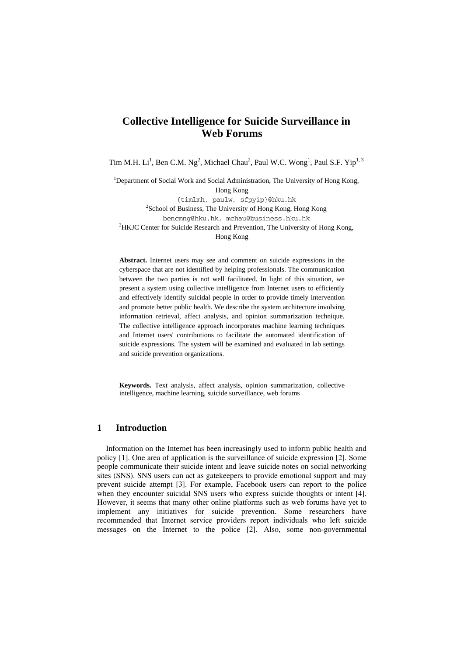# **Collective Intelligence for Suicide Surveillance in Web Forums**

Tim M.H. Li<sup>1</sup>, Ben C.M. Ng<sup>2</sup>, Michael Chau<sup>2</sup>, Paul W.C. Wong<sup>1</sup>, Paul S.F. Yip<sup>1, 3</sup>

<sup>1</sup>Department of Social Work and Social Administration, The University of Hong Kong, Hong Kong {timlmh, paulw, sfpyip}@hku.hk <sup>2</sup>School of Business, The University of Hong Kong, Hong Kong bencmng@hku.hk, mchau@business.hku.hk <sup>3</sup>HKJC Center for Suicide Research and Prevention, The University of Hong Kong, Hong Kong

**Abstract.** Internet users may see and comment on suicide expressions in the cyberspace that are not identified by helping professionals. The communication between the two parties is not well facilitated. In light of this situation, we present a system using collective intelligence from Internet users to efficiently and effectively identify suicidal people in order to provide timely intervention and promote better public health. We describe the system architecture involving information retrieval, affect analysis, and opinion summarization technique. The collective intelligence approach incorporates machine learning techniques and Internet users' contributions to facilitate the automated identification of suicide expressions. The system will be examined and evaluated in lab settings and suicide prevention organizations.

**Keywords.** Text analysis, affect analysis, opinion summarization, collective intelligence, machine learning, suicide surveillance, web forums

#### **1 Introduction**

Information on the Internet has been increasingly used to inform public health and policy [1]. One area of application is the surveillance of suicide expression [2]. Some people communicate their suicide intent and leave suicide notes on social networking sites (SNS). SNS users can act as gatekeepers to provide emotional support and may prevent suicide attempt [3]. For example, Facebook users can report to the police when they encounter suicidal SNS users who express suicide thoughts or intent [4]. However, it seems that many other online platforms such as web forums have yet to implement any initiatives for suicide prevention. Some researchers have recommended that Internet service providers report individuals who left suicide messages on the Internet to the police [2]. Also, some non-governmental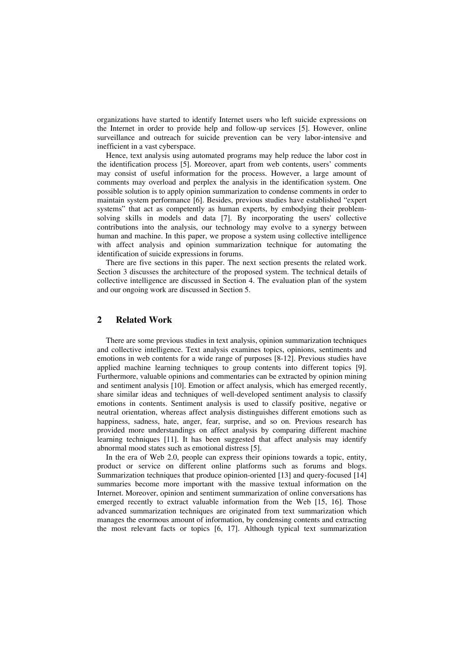organizations have started to identify Internet users who left suicide expressions on the Internet in order to provide help and follow-up services [5]. However, online surveillance and outreach for suicide prevention can be very labor-intensive and inefficient in a vast cyberspace.

Hence, text analysis using automated programs may help reduce the labor cost in the identification process [5]. Moreover, apart from web contents, users' comments may consist of useful information for the process. However, a large amount of comments may overload and perplex the analysis in the identification system. One possible solution is to apply opinion summarization to condense comments in order to maintain system performance [6]. Besides, previous studies have established "expert systems" that act as competently as human experts, by embodying their problemsolving skills in models and data [7]. By incorporating the users' collective contributions into the analysis, our technology may evolve to a synergy between human and machine. In this paper, we propose a system using collective intelligence with affect analysis and opinion summarization technique for automating the identification of suicide expressions in forums.

There are five sections in this paper. The next section presents the related work. Section 3 discusses the architecture of the proposed system. The technical details of collective intelligence are discussed in Section 4. The evaluation plan of the system and our ongoing work are discussed in Section 5.

# **2 Related Work**

There are some previous studies in text analysis, opinion summarization techniques and collective intelligence. Text analysis examines topics, opinions, sentiments and emotions in web contents for a wide range of purposes [8-12]. Previous studies have applied machine learning techniques to group contents into different topics [9]. Furthermore, valuable opinions and commentaries can be extracted by opinion mining and sentiment analysis [10]. Emotion or affect analysis, which has emerged recently, share similar ideas and techniques of well-developed sentiment analysis to classify emotions in contents. Sentiment analysis is used to classify positive, negative or neutral orientation, whereas affect analysis distinguishes different emotions such as happiness, sadness, hate, anger, fear, surprise, and so on. Previous research has provided more understandings on affect analysis by comparing different machine learning techniques [11]. It has been suggested that affect analysis may identify abnormal mood states such as emotional distress [5].

In the era of Web 2.0, people can express their opinions towards a topic, entity, product or service on different online platforms such as forums and blogs. Summarization techniques that produce opinion-oriented [13] and query-focused [14] summaries become more important with the massive textual information on the Internet. Moreover, opinion and sentiment summarization of online conversations has emerged recently to extract valuable information from the Web [15, 16]. Those advanced summarization techniques are originated from text summarization which manages the enormous amount of information, by condensing contents and extracting the most relevant facts or topics [6, 17]. Although typical text summarization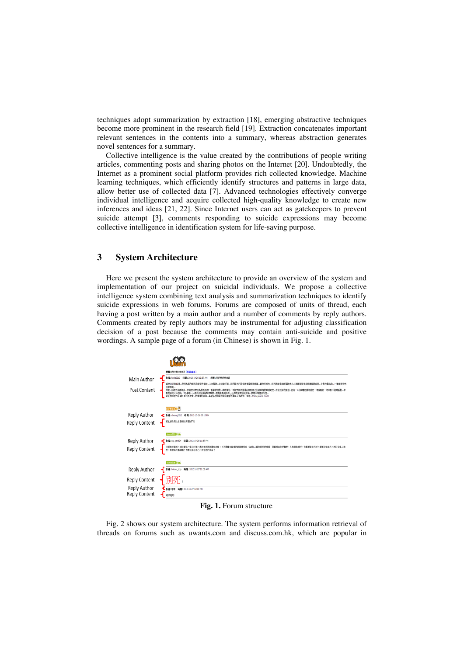techniques adopt summarization by extraction [18], emerging abstractive techniques become more prominent in the research field [19]. Extraction concatenates important relevant sentences in the contents into a summary, whereas abstraction generates novel sentences for a summary.

Collective intelligence is the value created by the contributions of people writing articles, commenting posts and sharing photos on the Internet [20]. Undoubtedly, the Internet as a prominent social platform provides rich collected knowledge. Machine learning techniques, which efficiently identify structures and patterns in large data, allow better use of collected data [7]. Advanced technologies effectively converge individual intelligence and acquire collected high-quality knowledge to create new inferences and ideas [21, 22]. Since Internet users can act as gatekeepers to prevent suicide attempt [3], comments responding to suicide expressions may become collective intelligence in identification system for life-saving purpose.

## **3 System Architecture**

Here we present the system architecture to provide an overview of the system and implementation of our project on suicidal individuals. We propose a collective intelligence system combining text analysis and summarization techniques to identify suicide expressions in web forums. Forums are composed of units of thread, each having a post written by a main author and a number of comments by reply authors. Comments created by reply authors may be instrumental for adjusting classification decision of a post because the comments may contain anti-suicide and positive wordings. A sample page of a forum (in Chinese) is shown in Fig. 1.

| Main Author<br>Post Content                                    | 標題:我好想好想自發 [1]印本百]<br>作者: koala0213 時間: 2012-10-26 12:57 AM<br>標題: 我好想好想自诊<br>話說2007年12月…我因為基內畸形血管突然爆左<br>-藤然死塔去--但因為就手術既醫院塔小心用導管氣穿多我隱解腦血管---令我大量出血---一遍身幾乎完<br>,到外提试已好化或做早期诊断事。<br>入左翼院<br>全部项目<br>好动<br>比到幸福我继就走左…之後就到我家姐…因為一6小事權左幾句就左一句殘癡右一句半身不遂暗話我…伸<br>有我细纯又体因為一心小事嗎…又再次以死殘廢嬰攻擊我…我越來越最得自己正如我前女朋友所請…我根本咽應該出世…<br>最後我購左好多購於自發既文章 亦準備好氨氧 希望各位購到我經段這言既有據人為我評一評理 thank you so much! |
|----------------------------------------------------------------|-------------------------------------------------------------------------------------------------------------------------------------------------------------------------------------------------------------------------------------------------------------------------------------------------------------------------------------------------------------------------------------|
| Reply Author<br>Reply Content                                  | u<br>计调整设计<br>作者: cheong2212 時間: 2012-10-26 05:13 PM<br>原主语你将此信息鳍交有關部門!                                                                                                                                                                                                                                                                                                             |
| Reply Author<br><b>Reply Content</b>                           | Android B (S) 30 A.D.<br>作者: wy_yan824 時間: 2012-10-26 11:37 FM<br>乜佢地哇哀跃,她挤都你一家人吖嘛<br>,應該支持阿默動你先端!!不過樓主都哪行說到要死啦,為呢d人話你而死好哪懂,我都明白你好難受,人地對你哪好,你都要對自己好,都要珍惜自己,把口生体人地<br>度,味由得人點講囉!你要比你心自己,阿佢地門長命!                                                                                                                                                                                      |
| Reply Author<br>Reply Content<br>Reply Author<br>Reply Content | Android 2 H W 212<br>作者: hakuei_izzy 時間: 2012-10-27 12:59 AM<br>作者: 零整 時間: 2012-10-27 12:19 PM<br><b>相好死阵</b>                                                                                                                                                                                                                                                                       |

**Fig. 1.** Forum structure

Fig. 2 shows our system architecture. The system performs information retrieval of threads on forums such as uwants.com and discuss.com.hk, which are popular in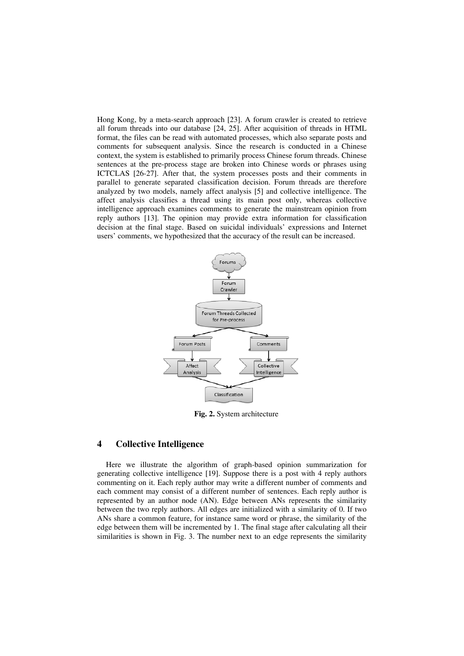Hong Kong, by a meta-search approach [23]. A forum crawler is created to retrieve all forum threads into our database [24, 25]. After acquisition of threads in HTML format, the files can be read with automated processes, which also separate posts and comments for subsequent analysis. Since the research is conducted in a Chinese context, the system is established to primarily process Chinese forum threads. Chinese sentences at the pre-process stage are broken into Chinese words or phrases using ICTCLAS [26-27]. After that, the system processes posts and their comments in parallel to generate separated classification decision. Forum threads are therefore analyzed by two models, namely affect analysis [5] and collective intelligence. The affect analysis classifies a thread using its main post only, whereas collective intelligence approach examines comments to generate the mainstream opinion from reply authors [13]. The opinion may provide extra information for classification decision at the final stage. Based on suicidal individuals' expressions and Internet users' comments, we hypothesized that the accuracy of the result can be increased.



**Fig. 2.** System architecture

### **4 Collective Intelligence**

Here we illustrate the algorithm of graph-based opinion summarization for generating collective intelligence [19]. Suppose there is a post with 4 reply authors commenting on it. Each reply author may write a different number of comments and each comment may consist of a different number of sentences. Each reply author is represented by an author node (AN). Edge between ANs represents the similarity between the two reply authors. All edges are initialized with a similarity of 0. If two ANs share a common feature, for instance same word or phrase, the similarity of the edge between them will be incremented by 1. The final stage after calculating all their similarities is shown in Fig. 3. The number next to an edge represents the similarity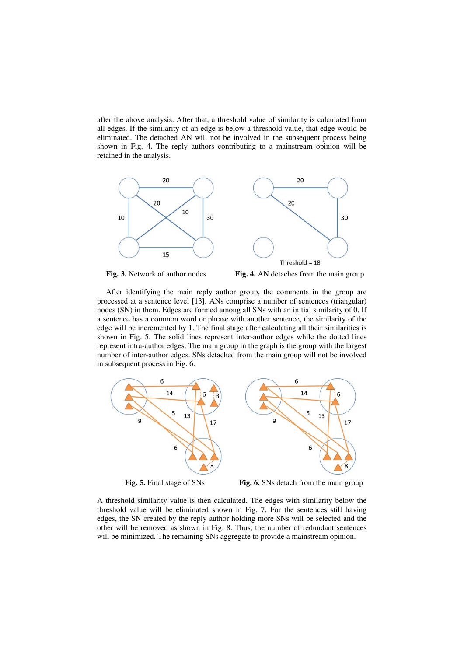after the above analysis. After that, a threshold value of similarity is calculated from all edges. If the similarity of an edge is below a threshold value, that edge would be eliminated. The detached AN will not be involved in the subsequent process being shown in Fig. 4. The reply authors contributing to a mainstream opinion will be retained in the analysis.







After identifying the main reply author group, the comments in the group are processed at a sentence level [13]. ANs comprise a number of sentences (triangular) nodes (SN) in them. Edges are formed among all SNs with an initial similarity of 0. If a sentence has a common word or phrase with another sentence, the similarity of the edge will be incremented by 1. The final stage after calculating all their similarities is shown in Fig. 5. The solid lines represent inter-author edges while the dotted lines represent intra-author edges. The main group in the graph is the group with the largest number of inter-author edges. SNs detached from the main group will not be involved in subsequent process in Fig. 6.



**Fig. 5.** Final stage of SNs **Fig. 6.** SNs detach from the main group

17

 $\overline{8}$ 

A threshold similarity value is then calculated. The edges with similarity below the threshold value will be eliminated shown in Fig. 7. For the sentences still having edges, the SN created by the reply author holding more SNs will be selected and the other will be removed as shown in Fig. 8. Thus, the number of redundant sentences will be minimized. The remaining SNs aggregate to provide a mainstream opinion.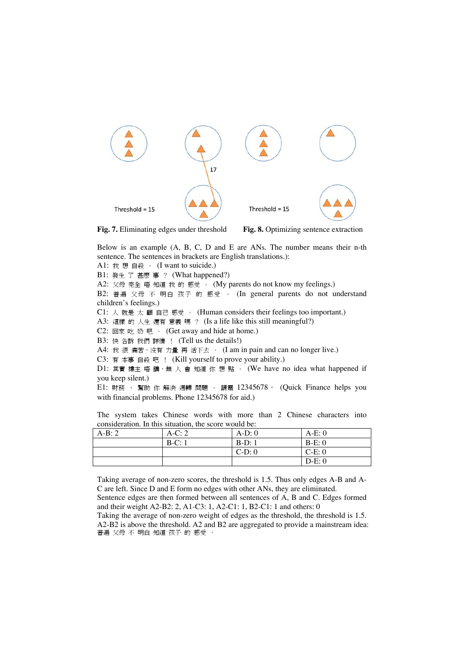

**Fig. 7.** Eliminating edges under threshold **Fig. 8.** Optimizing sentence extraction

Below is an example (A, B, C, D and E are ANs. The number means their n-th sentence. The sentences in brackets are English translations.): A1: 我 想 自殺 。 (I want to suicide.) B1: 發生 了 甚麼 事 ? (What happened?) A2: 父母 完全 唔 知道 我 的 感受 。 (My parents do not know my feelings.)

B2: 普遍 父母 不 明白 孩子 的 感受 。 (In general parents do not understand

children's feelings.)

C1: 人 就是 太 顧 自己 感受 。 (Human considers their feelings too important.)

A3: 這樣 的 人生 還有 意義 嗎 ? (Is a life like this still meaningful?)

C2: 回家 吃 奶 吧 。 (Get away and hide at home.)

B3: 快 告訴 我們 詳情 ! (Tell us the details!)

A4: 我很痛苦,沒有力量再活下去。 (I am in pain and can no longer live.)

C3: 有 本事 自殺 吧 ! (Kill yourself to prove your ability.)

D1: 其實 樓主 唔 講, 無 人 會 知道 你 想 點 。 (We have no idea what happened if you keep silent.)

E1: 財務 , 幫助 你 解決 週轉 問題 。 請電 12345678。 (Quick Finance helps you with financial problems. Phone 12345678 for aid.)

The system takes Chinese words with more than 2 Chinese characters into consideration. In this situation, the score would be:

| $A-B:2$ | $A-C:2$ | $A-D:0$ | $A-E:0$ |
|---------|---------|---------|---------|
|         | $B-C:1$ | $B-D:1$ | $B-E:0$ |
|         |         | $C-D:0$ | $C-E:0$ |
|         |         |         | $D-E:0$ |

Taking average of non-zero scores, the threshold is 1.5. Thus only edges A-B and A-C are left. Since D and E form no edges with other ANs, they are eliminated. Sentence edges are then formed between all sentences of A, B and C. Edges formed and their weight A2-B2: 2, A1-C3: 1, A2-C1: 1, B2-C1: 1 and others: 0

Taking the average of non-zero weight of edges as the threshold, the threshold is 1.5. A2-B2 is above the threshold. A2 and B2 are aggregated to provide a mainstream idea: 普遍 父母 不 明白 知道 孩子 的 感受 。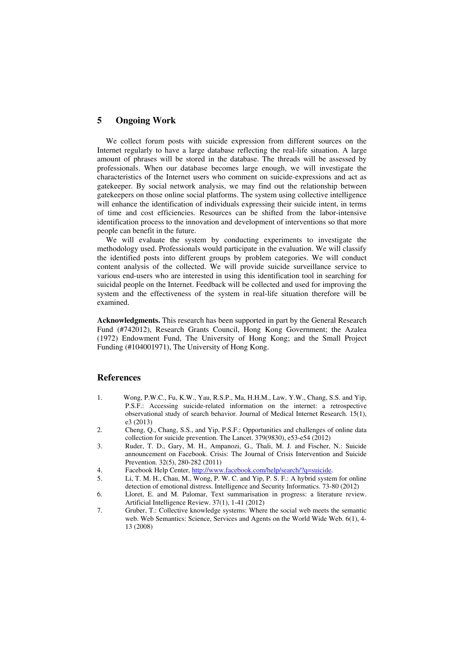## **5 Ongoing Work**

We collect forum posts with suicide expression from different sources on the Internet regularly to have a large database reflecting the real-life situation. A large amount of phrases will be stored in the database. The threads will be assessed by professionals. When our database becomes large enough, we will investigate the characteristics of the Internet users who comment on suicide-expressions and act as gatekeeper. By social network analysis, we may find out the relationship between gatekeepers on those online social platforms. The system using collective intelligence will enhance the identification of individuals expressing their suicide intent, in terms of time and cost efficiencies. Resources can be shifted from the labor-intensive identification process to the innovation and development of interventions so that more people can benefit in the future.

We will evaluate the system by conducting experiments to investigate the methodology used. Professionals would participate in the evaluation. We will classify the identified posts into different groups by problem categories. We will conduct content analysis of the collected. We will provide suicide surveillance service to various end-users who are interested in using this identification tool in searching for suicidal people on the Internet. Feedback will be collected and used for improving the system and the effectiveness of the system in real-life situation therefore will be examined.

**Acknowledgments.** This research has been supported in part by the General Research Fund (#742012), Research Grants Council, Hong Kong Government; the Azalea (1972) Endowment Fund, The University of Hong Kong; and the Small Project Funding (#104001971), The University of Hong Kong.

#### **References**

- 1. Wong, P.W.C., Fu, K.W., Yau, R.S.P., Ma, H.H.M., Law, Y.W., Chang, S.S. and Yip, P.S.F.: Accessing suicide-related information on the internet: a retrospective observational study of search behavior. Journal of Medical Internet Research. 15(1), e3 (2013)
- 2. Cheng, Q., Chang, S.S., and Yip, P.S.F.: Opportunities and challenges of online data collection for suicide prevention. The Lancet. 379(9830), e53-e54 (2012)
- 3. Ruder, T. D., Gary, M. H., Ampanozi, G., Thali, M. J. and Fischer, N.: Suicide announcement on Facebook. Crisis: The Journal of Crisis Intervention and Suicide Prevention. 32(5), 280-282 (2011)
- 4. Facebook Help Center, http://www.facebook.com/help/search/?q=suicide.
- 5. Li, T. M. H., Chau, M., Wong, P. W. C. and Yip, P. S. F.: A hybrid system for online detection of emotional distress. Intelligence and Security Informatics. 73-80 (2012)
- 6. Lloret, E. and M. Palomar, Text summarisation in progress: a literature review. Artificial Intelligence Review. 37(1), 1-41 (2012)
- 7. Gruber, T.: Collective knowledge systems: Where the social web meets the semantic web. Web Semantics: Science, Services and Agents on the World Wide Web. 6(1), 4-13 (2008)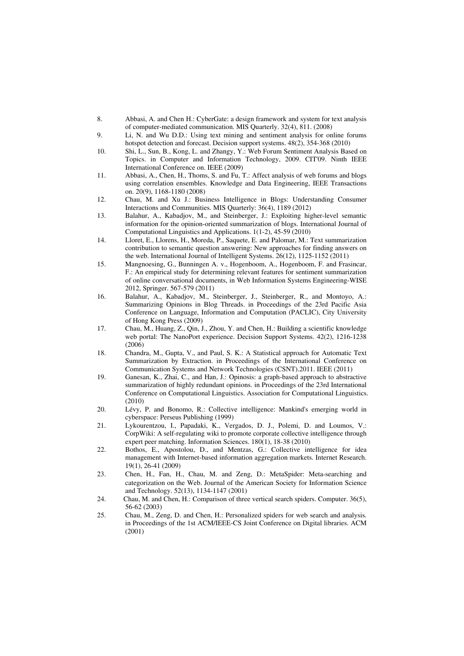- 8. Abbasi, A. and Chen H.: CyberGate: a design framework and system for text analysis of computer-mediated communication. MIS Quarterly. 32(4), 811. (2008)
- 9. Li, N. and Wu D.D.: Using text mining and sentiment analysis for online forums hotspot detection and forecast. Decision support systems. 48(2), 354-368 (2010)
- 10. Shi, L., Sun, B., Kong, L. and Zhangy, Y.: Web Forum Sentiment Analysis Based on Topics. in Computer and Information Technology, 2009. CIT'09. Ninth IEEE International Conference on. IEEE (2009)
- 11. Abbasi, A., Chen, H., Thoms, S. and Fu, T.: Affect analysis of web forums and blogs using correlation ensembles. Knowledge and Data Engineering, IEEE Transactions on. 20(9), 1168-1180 (2008)
- 12. Chau, M. and Xu J.: Business Intelligence in Blogs: Understanding Consumer Interactions and Communities. MIS Quarterly: 36(4), 1189 (2012)
- 13. Balahur, A., Kabadjov, M., and Steinberger, J.: Exploiting higher-level semantic information for the opinion-oriented summarization of blogs. International Journal of Computational Linguistics and Applications. 1(1-2), 45-59 (2010)
- 14. Lloret, E., Llorens, H., Moreda, P., Saquete, E. and Palomar, M.: Text summarization contribution to semantic question answering: New approaches for finding answers on the web. International Journal of Intelligent Systems. 26(12), 1125-1152 (2011)
- 15. Mangnoesing, G., Bunningen A. v., Hogenboom, A., Hogenboom, F. and Frasincar, F.: An empirical study for determining relevant features for sentiment summarization of online conversational documents, in Web Information Systems Engineering-WISE 2012, Springer. 567-579 (2011)
- 16. Balahur, A., Kabadjov, M., Steinberger, J., Steinberger, R., and Montoyo, A.: Summarizing Opinions in Blog Threads. in Proceedings of the 23rd Pacific Asia Conference on Language, Information and Computation (PACLIC), City University of Hong Kong Press (2009)
- 17. Chau, M., Huang, Z., Qin, J., Zhou, Y. and Chen, H.: Building a scientific knowledge web portal: The NanoPort experience. Decision Support Systems. 42(2), 1216-1238 (2006)
- 18. Chandra, M., Gupta, V., and Paul, S. K.: A Statistical approach for Automatic Text Summarization by Extraction. in Proceedings of the International Conference on Communication Systems and Network Technologies (CSNT).2011. IEEE (2011)
- 19. Ganesan, K., Zhai, C., and Han, J.: Opinosis: a graph-based approach to abstractive summarization of highly redundant opinions. in Proceedings of the 23rd International Conference on Computational Linguistics. Association for Computational Linguistics. (2010)
- 20. Lévy, P. and Bonomo, R.: Collective intelligence: Mankind's emerging world in cyberspace: Perseus Publishing (1999)
- 21. Lykourentzou, I., Papadaki, K., Vergados, D. J., Polemi, D. and Loumos, V.: CorpWiki: A self-regulating wiki to promote corporate collective intelligence through expert peer matching. Information Sciences. 180(1), 18-38 (2010)
- 22. Bothos, E., Apostolou, D., and Mentzas, G.: Collective intelligence for idea management with Internet-based information aggregation markets. Internet Research. 19(1), 26-41 (2009)
- 23. Chen, H., Fan, H., Chau, M. and Zeng, D.: MetaSpider: Meta-searching and categorization on the Web. Journal of the American Society for Information Science and Technology. 52(13), 1134-1147 (2001)
- 24. Chau, M. and Chen, H.: Comparison of three vertical search spiders. Computer. 36(5), 56-62 (2003)
- 25. Chau, M., Zeng, D. and Chen, H.: Personalized spiders for web search and analysis. in Proceedings of the 1st ACM/IEEE-CS Joint Conference on Digital libraries. ACM (2001)